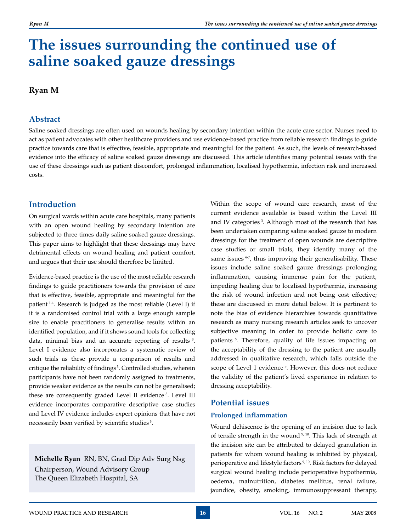# **The issues surrounding the continued use of saline soaked gauze dressings**

### **Ryan M**

#### **Abstract**

Saline soaked dressings are often used on wounds healing by secondary intention within the acute care sector. Nurses need to act as patient advocates with other healthcare providers and use evidence-based practice from reliable research findings to guide practice towards care that is effective, feasible, appropriate and meaningful for the patient. As such, the levels of research-based evidence into the efficacy of saline soaked gauze dressings are discussed. This article identifies many potential issues with the use of these dressings such as patient discomfort, prolonged inflammation, localised hypothermia, infection risk and increased costs.

#### **Introduction**

On surgical wards within acute care hospitals, many patients with an open wound healing by secondary intention are subjected to three times daily saline soaked gauze dressings. This paper aims to highlight that these dressings may have detrimental effects on wound healing and patient comfort, and argues that their use should therefore be limited.

Evidence-based practice is the use of the most reliable research findings to guide practitioners towards the provision of care that is effective, feasible, appropriate and meaningful for the patient 1-4. Research is judged as the most reliable (Level I) if it is a randomised control trial with a large enough sample size to enable practitioners to generalise results within an identified population, and if it shows sound tools for collecting data, minimal bias and an accurate reporting of results 3. Level I evidence also incorporates a systematic review of such trials as these provide a comparison of results and critique the reliability of findings<sup>3</sup>. Controlled studies, wherein participants have not been randomly assigned to treatments, provide weaker evidence as the results can not be generalised; these are consequently graded Level II evidence 3. Level III evidence incorporates comparative descriptive case studies and Level IV evidence includes expert opinions that have not necessarily been verified by scientific studies 3.

**Michelle Ryan** RN, BN, Grad Dip Adv Surg Nsg Chairperson, Wound Advisory Group The Queen Elizabeth Hospital, SA

Within the scope of wound care research, most of the current evidence available is based within the Level III and IV categories 3. Although most of the research that has been undertaken comparing saline soaked gauze to modern dressings for the treatment of open wounds are descriptive case studies or small trials, they identify many of the same issues <sup>4-7</sup>, thus improving their generalisability. These issues include saline soaked gauze dressings prolonging inflammation, causing immense pain for the patient, impeding healing due to localised hypothermia, increasing the risk of wound infection and not being cost effective; these are discussed in more detail below. It is pertinent to note the bias of evidence hierarchies towards quantitative research as many nursing research articles seek to uncover subjective meaning in order to provide holistic care to patients 8. Therefore, quality of life issues impacting on the acceptability of the dressing to the patient are usually addressed in qualitative research, which falls outside the scope of Level 1 evidence<sup>8</sup>. However, this does not reduce the validity of the patient's lived experience in relation to dressing acceptability.

#### **Potential issues**

#### **Prolonged inflammation**

Wound dehiscence is the opening of an incision due to lack of tensile strength in the wound 9, 10. This lack of strength at the incision site can be attributed to delayed granulation in patients for whom wound healing is inhibited by physical, perioperative and lifestyle factors<sup>9, 10</sup>. Risk factors for delayed surgical wound healing include perioperative hypothermia, oedema, malnutrition, diabetes mellitus, renal failure, jaundice, obesity, smoking, immunosuppressant therapy,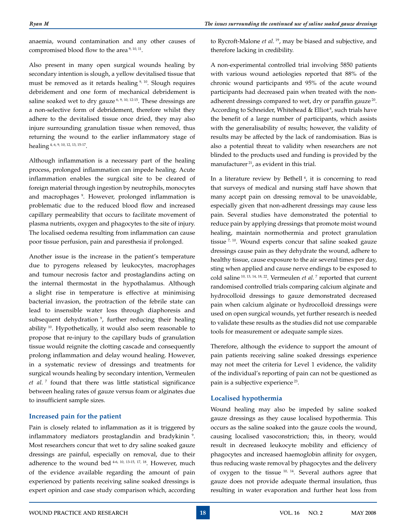anaemia, wound contamination and any other causes of compromised blood flow to the area 9, 10, 11.

Also present in many open surgical wounds healing by secondary intention is slough, a yellow devitalised tissue that must be removed as it retards healing  $9, 10$ . Slough requires debridement and one form of mechanical debridement is saline soaked wet to dry gauze  $6, 9, 10, 12$ -15. These dressings are a non-selective form of debridement, therefore whilst they adhere to the devitalised tissue once dried, they may also injure surrounding granulation tissue when removed, thus returning the wound to the earlier inflammatory stage of healing  $4, 6, 9, 10, 12, 13, 15-17$ .

Although inflammation is a necessary part of the healing process, prolonged inflammation can impede healing. Acute inflammation enables the surgical site to be cleared of foreign material through ingestion by neutrophils, monocytes and macrophages<sup>9</sup>. However, prolonged inflammation is problematic due to the reduced blood flow and increased capillary permeability that occurs to facilitate movement of plasma nutrients, oxygen and phagocytes to the site of injury. The localised oedema resulting from inflammation can cause poor tissue perfusion, pain and paresthesia if prolonged.

Another issue is the increase in the patient's temperature due to pyrogens released by leukocytes, macrophages and tumour necrosis factor and prostaglandins acting on the internal thermostat in the hypothalamus. Although a slight rise in temperature is effective at minimising bacterial invasion, the protraction of the febrile state can lead to insensible water loss through diaphoresis and subsequent dehydration<sup>9</sup>, further reducing their healing ability 10. Hypothetically, it would also seem reasonable to propose that re-injury to the capillary buds of granulation tissue would reignite the clotting cascade and consequently prolong inflammation and delay wound healing. However, in a systematic review of dressings and treatments for surgical wounds healing by secondary intention, Vermeulen *et al.* 7 found that there was little statistical significance between healing rates of gauze versus foam or alginates due to insufficient sample sizes.

#### **Increased pain for the patient**

Pain is closely related to inflammation as it is triggered by inflammatory mediators prostaglandin and bradykinin<sup>9</sup>. Most researchers concur that wet to dry saline soaked gauze dressings are painful, especially on removal, due to their adherence to the wound bed  $4-6$ ,  $10$ ,  $13-15$ ,  $17$ ,  $18$ . However, much of the evidence available regarding the amount of pain experienced by patients receiving saline soaked dressings is expert opinion and case study comparison which, according to Rycroft-Malone *et al.* 19, may be biased and subjective, and therefore lacking in credibility.

A non-experimental controlled trial involving 5850 patients with various wound aetiologies reported that 88% of the chronic wound participants and 95% of the acute wound participants had decreased pain when treated with the nonadherent dressings compared to wet, dry or paraffin gauze<sup>20</sup>. According to Schneider, Whitehead & Elliot<sup>8</sup>, such trials have the benefit of a large number of participants, which assists with the generalisability of results; however, the validity of results may be affected by the lack of randomisation. Bias is also a potential threat to validity when researchers are not blinded to the products used and funding is provided by the manufacturer<sup>21</sup>, as evident in this trial.

In a literature review by Bethell<sup>4</sup>, it is concerning to read that surveys of medical and nursing staff have shown that many accept pain on dressing removal to be unavoidable, especially given that non-adherent dressings may cause less pain. Several studies have demonstrated the potential to reduce pain by applying dressings that promote moist wound healing, maintain normothermia and protect granulation tissue  $7, 10$ . Wound experts concur that saline soaked gauze dressings cause pain as they dehydrate the wound, adhere to healthy tissue, cause exposure to the air several times per day, sting when applied and cause nerve endings to be exposed to cold saline <sup>10, 13, 14, 18, 22.</sup> Vermeulen *et al.* 7 reported that current randomised controlled trials comparing calcium alginate and hydrocolloid dressings to gauze demonstrated decreased pain when calcium alginate or hydrocolloid dressings were used on open surgical wounds, yet further research is needed to validate these results as the studies did not use comparable tools for measurement or adequate sample sizes.

Therefore, although the evidence to support the amount of pain patients receiving saline soaked dressings experience may not meet the criteria for Level 1 evidence, the validity of the individual's reporting of pain can not be questioned as pain is a subjective experience 23.

#### **Localised hypothermia**

Wound healing may also be impeded by saline soaked gauze dressings as they cause localised hypothermia. This occurs as the saline soaked into the gauze cools the wound, causing localised vasoconstriction; this, in theory, would result in decreased leukocyte mobility and efficiency of phagocytes and increased haemoglobin affinity for oxygen, thus reducing waste removal by phagocytes and the delivery of oxygen to the tissue  $10$ ,  $14$ . Several authors agree that gauze does not provide adequate thermal insulation, thus resulting in water evaporation and further heat loss from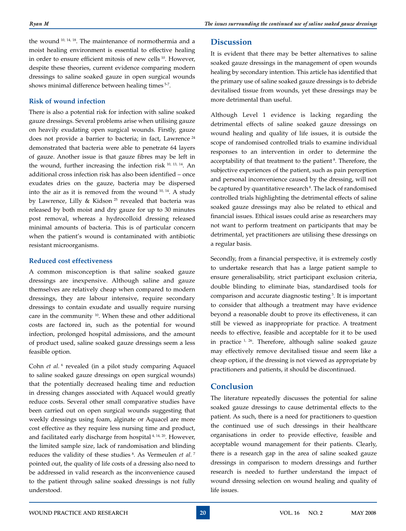the wound 10, 14, 18. The maintenance of normothermia and a moist healing environment is essential to effective healing in order to ensure efficient mitosis of new cells <sup>10</sup>. However, despite these theories, current evidence comparing modern dressings to saline soaked gauze in open surgical wounds shows minimal difference between healing times <sup>5-7</sup>.

#### **Risk of wound infection**

There is also a potential risk for infection with saline soaked gauze dressings. Several problems arise when utilising gauze on heavily exudating open surgical wounds. Firstly, gauze does not provide a barrier to bacteria; in fact, Lawrence 24 demonstrated that bacteria were able to penetrate 64 layers of gauze. Another issue is that gauze fibres may be left in the wound, further increasing the infection risk <sup>10, 13, 14</sup>. An additional cross infection risk has also been identified – once exudates dries on the gauze, bacteria may be dispersed into the air as it is removed from the wound 10, 14. A study by Lawrence, Lilly & Kidson 25 revealed that bacteria was released by both moist and dry gauze for up to 30 minutes post removal, whereas a hydrocolloid dressing released minimal amounts of bacteria. This is of particular concern when the patient's wound is contaminated with antibiotic resistant microorganisms.

#### **Reduced cost effectiveness**

A common misconception is that saline soaked gauze dressings are inexpensive. Although saline and gauze themselves are relatively cheap when compared to modern dressings, they are labour intensive, require secondary dressings to contain exudate and usually require nursing care in the community 10. When these and other additional costs are factored in, such as the potential for wound infection, prolonged hospital admissions, and the amount of product used, saline soaked gauze dressings seem a less feasible option.

Cohn et al.<sup>6</sup> revealed (in a pilot study comparing Aquacel to saline soaked gauze dressings on open surgical wounds) that the potentially decreased healing time and reduction in dressing changes associated with Aquacel would greatly reduce costs. Several other small comparative studies have been carried out on open surgical wounds suggesting that weekly dressings using foam, alginate or Aquacel are more cost effective as they require less nursing time and product, and facilitated early discharge from hospital 4, 14, 20. However, the limited sample size, lack of randomisation and blinding reduces the validity of these studies 8. As Vermeulen *et al.*<sup>7</sup> pointed out, the quality of life costs of a dressing also need to be addressed in valid research as the inconvenience caused to the patient through saline soaked dressings is not fully understood.

#### **Discussion**

It is evident that there may be better alternatives to saline soaked gauze dressings in the management of open wounds healing by secondary intention. This article has identified that the primary use of saline soaked gauze dressings is to debride devitalised tissue from wounds, yet these dressings may be more detrimental than useful.

Although Level 1 evidence is lacking regarding the detrimental effects of saline soaked gauze dressings on wound healing and quality of life issues, it is outside the scope of randomised controlled trials to examine individual responses to an intervention in order to determine the acceptability of that treatment to the patient<sup>8</sup>. Therefore, the subjective experiences of the patient, such as pain perception and personal inconvenience caused by the dressing, will not be captured by quantitative research<sup>8</sup>. The lack of randomised controlled trials highlighting the detrimental effects of saline soaked gauze dressings may also be related to ethical and financial issues. Ethical issues could arise as researchers may not want to perform treatment on participants that may be detrimental, yet practitioners are utilising these dressings on a regular basis.

Secondly, from a financial perspective, it is extremely costly to undertake research that has a large patient sample to ensure generalisability, strict participant exclusion criteria, double blinding to eliminate bias, standardised tools for comparison and accurate diagnostic testing 3. It is important to consider that although a treatment may have evidence beyond a reasonable doubt to prove its effectiveness, it can still be viewed as inappropriate for practice. A treatment needs to effective, feasible and acceptable for it to be used in practice 1, 26. Therefore, although saline soaked gauze may effectively remove devitalised tissue and seem like a cheap option, if the dressing is not viewed as appropriate by practitioners and patients, it should be discontinued.

## **Conclusion**

The literature repeatedly discusses the potential for saline soaked gauze dressings to cause detrimental effects to the patient. As such, there is a need for practitioners to question the continued use of such dressings in their healthcare organisations in order to provide effective, feasible and acceptable wound management for their patients. Clearly, there is a research gap in the area of saline soaked gauze dressings in comparison to modern dressings and further research is needed to further understand the impact of wound dressing selection on wound healing and quality of life issues.